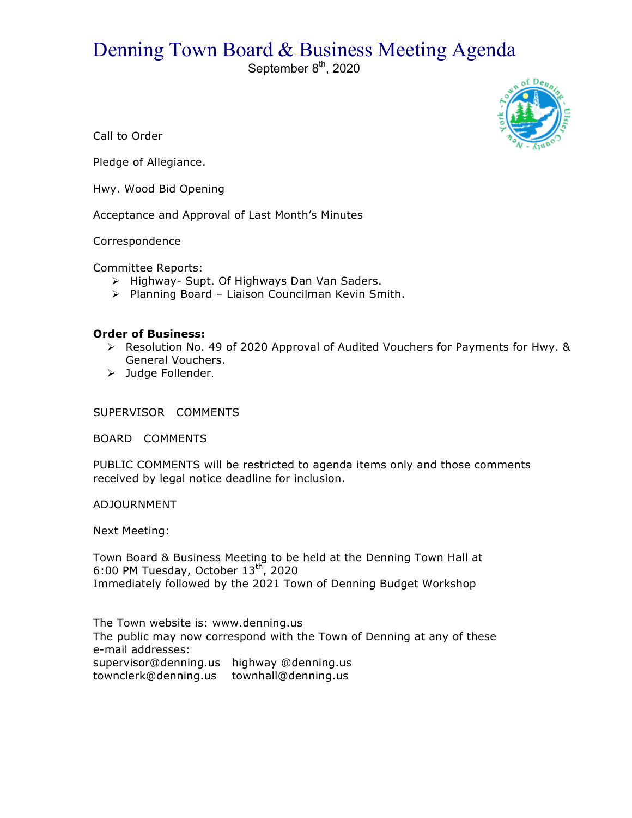## Denning Town Board & Business Meeting Agenda

September 8<sup>th</sup>, 2020



Call to Order

Pledge of Allegiance.

Hwy. Wood Bid Opening

Acceptance and Approval of Last Month's Minutes

Correspondence

Committee Reports:

- > Highway- Supt. Of Highways Dan Van Saders.
- > Planning Board Liaison Councilman Kevin Smith.

## **Order of Business:**

- $\triangleright$  Resolution No. 49 of 2020 Approval of Audited Vouchers for Payments for Hwy. & General Vouchers.
- > Judge Follender.

SUPERVISOR COMMENTS

BOARD COMMENTS

PUBLIC COMMENTS will be restricted to agenda items only and those comments received by legal notice deadline for inclusion.

ADJOURNMENT

Next Meeting:

Town Board & Business Meeting to be held at the Denning Town Hall at 6:00 PM Tuesday, October  $13<sup>th</sup>$ , 2020 Immediately followed by the 2021 Town of Denning Budget Workshop

The Town website is: www.denning.us The public may now correspond with the Town of Denning at any of these e-mail addresses: supervisor@denning.us highway @denning.us

townclerk@denning.us townhall@denning.us